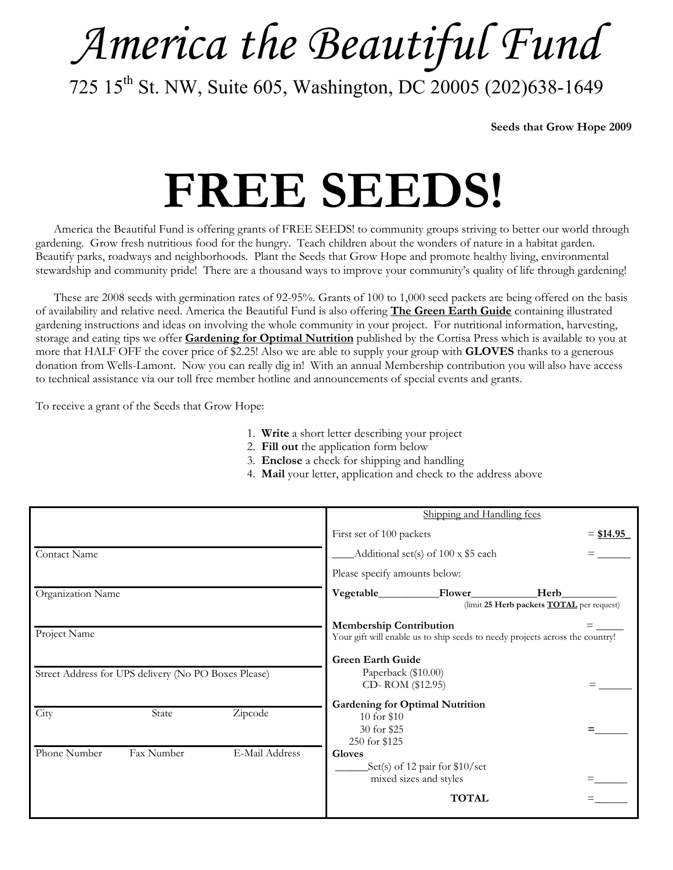# *America the Beautiful Fund*

725 15<sup>th</sup> St. NW, Suite 605, Washington, DC 20005 (202)638-1649

**Seeds that Grow Hope 2009** 

# **FREE SEEDS!**

 America the Beautiful Fund is offering grants of FREE SEEDS! to community groups striving to better our world through gardening. Grow fresh nutritious food for the hungry. Teach children about the wonders of nature in a habitat garden. Beautify parks, roadways and neighborhoods. Plant the Seeds that Grow Hope and promote healthy living, environmental stewardship and community pride! There are a thousand ways to improve your community's quality of life through gardening!

 These are 2008 seeds with germination rates of 92-95%. Grants of 100 to 1,000 seed packets are being offered on the basis of availability and relative need. America the Beautiful Fund is also offering **The Green Earth Guide** containing illustrated gardening instructions and ideas on involving the whole community in your project. For nutritional information, harvesting, storage and eating tips we offer **Gardening for Optimal Nutrition** published by the Cortisa Press which is available to you at more that HALF OFF the cover price of \$2.25! Also we are able to supply your group with **GLOVES** thanks to a generous donation from Wells-Lamont. Now you can really dig in! With an annual Membership contribution you will also have access to technical assistance via our toll free member hotline and announcements of special events and grants.

To receive a grant of the Seeds that Grow Hope:

- 1. **Write** a short letter describing your project
- 2. **Fill out** the application form below
- 3. **Enclose** a check for shipping and handling
- 4. **Mail** your letter, application and check to the address above

|                                                      |            |                | Shipping and Handling fees                                                                                     |                                                           |                                                          |
|------------------------------------------------------|------------|----------------|----------------------------------------------------------------------------------------------------------------|-----------------------------------------------------------|----------------------------------------------------------|
|                                                      |            |                | First set of 100 packets                                                                                       |                                                           | $=$ \$14.95                                              |
| Contact Name                                         |            |                | Additional set(s) of $100 \times $5$ each                                                                      |                                                           |                                                          |
|                                                      |            |                | Please specify amounts below:                                                                                  |                                                           |                                                          |
| Organization Name                                    |            |                | Vegetable_                                                                                                     | Flower                                                    | Herb<br>(limit 25 Herb packets <b>TOTAL</b> per request) |
| Project Name                                         |            |                | <b>Membership Contribution</b><br>Your gift will enable us to ship seeds to needy projects across the country! |                                                           |                                                          |
| Street Address for UPS delivery (No PO Boxes Please) |            |                | <b>Green Earth Guide</b><br>Paperback (\$10.00)<br>CD-ROM (\$12.95)                                            |                                                           |                                                          |
| City                                                 | State      | Zipcode        | <b>Gardening for Optimal Nutrition</b><br>10 for \$10<br>30 for \$25<br>250 for \$125                          |                                                           |                                                          |
| Phone Number                                         | Fax Number | E-Mail Address | <b>Gloves</b>                                                                                                  | Set(s) of 12 pair for $$10/sec$<br>mixed sizes and styles |                                                          |
|                                                      |            |                |                                                                                                                | <b>TOTAL</b>                                              |                                                          |